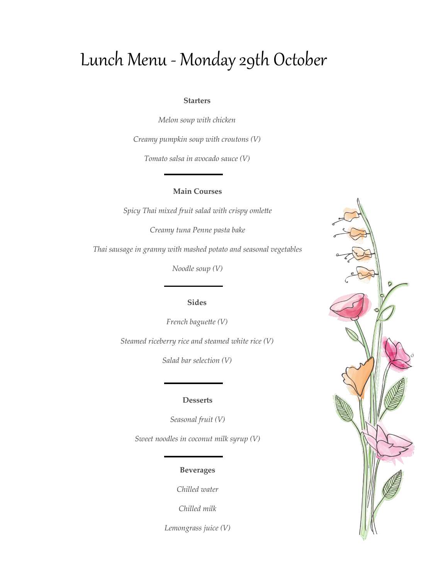## Lunch Menu - Monday 29th October

#### **Starters**

*Melon soup with chicken* 

*Creamy pumpkin soup with croutons (V)*

*Tomato salsa in avocado sauce (V)*

## **Main Courses**

*Spicy Thai mixed fruit salad with crispy omlette*

*Creamy tuna Penne pasta bake*

*Thai sausage in granny with mashed potato and seasonal vegetables* 

*Noodle soup (V)*

## **Sides**

*French baguette (V) Steamed riceberry rice and steamed white rice (V)*

*Salad bar selection (V)*

#### **Desserts**

*Seasonal fruit (V)*

*Sweet noodles in coconut milk syrup (V)*

## **Beverages**

*Chilled water*

*Chilled milk*

*Lemongrass juice (V)*

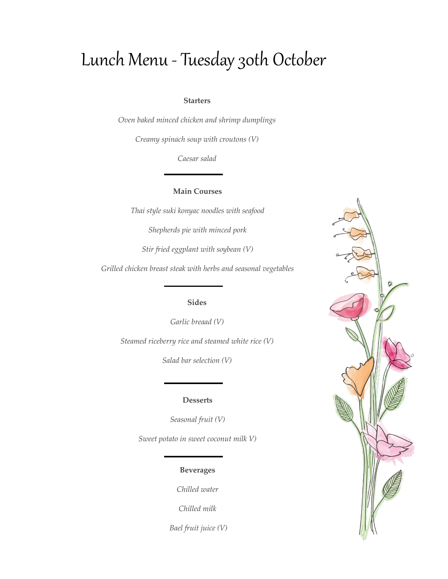## Lunch Menu - Tuesday 30th October

#### **Starters**

*Oven baked minced chicken and shrimp dumplings* 

*Creamy spinach soup with croutons (V)*

*Caesar salad*

### **Main Courses**

*Thai style suki konyac noodles with seafood*

*Shepherds pie with minced pork*

*Stir fried eggplant with soybean (V)*

*Grilled chicken breast steak with herbs and seasonal vegetables*

## **Sides**

*Garlic breaad (V)*

*Steamed riceberry rice and steamed white rice (V)*

*Salad bar selection (V)*

#### **Desserts**

*Seasonal fruit (V)*

*Sweet potato in sweet coconut milk V)* 

## **Beverages**

*Chilled water*

*Chilled milk*

*Bael fruit juice (V)*

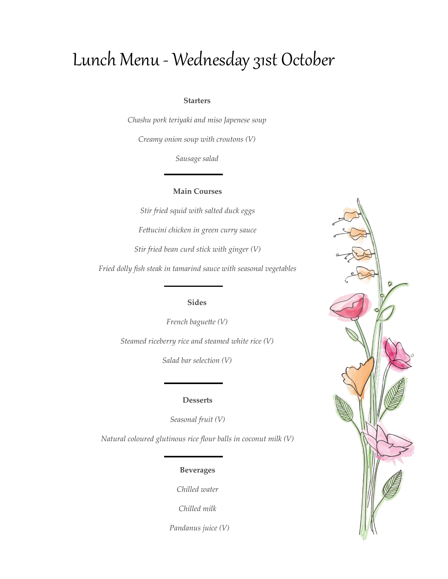# Lunch Menu - Wednesday 31st October

#### **Starters**

*Chashu pork teriyaki and miso Japenese soup*

*Creamy onion soup with croutons (V)*

*Sausage salad*

### **Main Courses**

*Stir fried squid with salted duck eggs Fettucini chicken in green curry sauce Stir fried bean curd stick with ginger (V)*

*Fried dolly fish steak in tamarind sauce with seasonal vegetables*

## **Sides**

*French baguette (V) Steamed riceberry rice and steamed white rice (V)*

*Salad bar selection (V)*

#### **Desserts**

*Seasonal fruit (V)*

*Natural coloured glutinous rice flour balls in coconut milk (V)*

### **Beverages**

*Chilled water*

*Chilled milk*

 *Pandanus juice (V)*

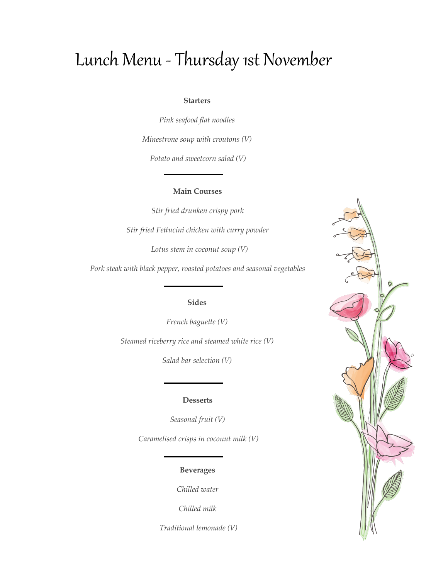## Lunch Menu - Thursday 1st November

#### **Starters**

*Pink seafood flat noodles* 

*Minestrone soup with croutons (V)*

*Potato and sweetcorn salad (V)*

### **Main Courses**

*Stir fried drunken crispy pork Stir fried Fettucini chicken with curry powder Lotus stem in coconut soup (V)*

*Pork steak with black pepper, roasted potatoes and seasonal vegetables*

## **Sides**

*French baguette (V) Steamed riceberry rice and steamed white rice (V)*

*Salad bar selection (V)*

#### **Desserts**

*Seasonal fruit (V)*

*Caramelised crisps in coconut milk (V)*

## **Beverages**

*Chilled water*

*Chilled milk*

*Traditional lemonade (V)*

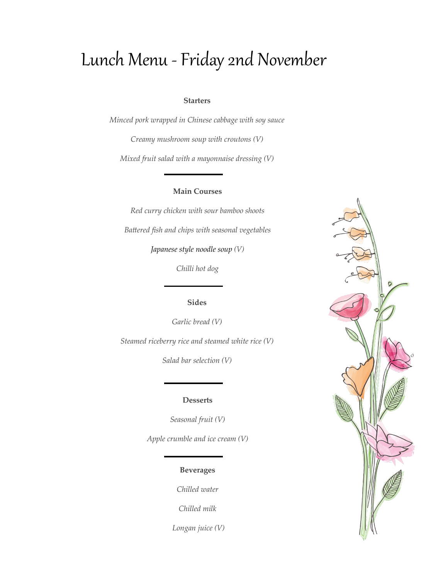## Lunch Menu -Friday 2nd November

#### **Starters**

*Minced pork wrapped in Chinese cabbage with soy sauce*

*Creamy mushroom soup with croutons (V)*

*Mixed fruit salad with a mayonnaise dressing (V)*

## **Main Courses**

*Red curry chicken with sour bamboo shoots Battered fish and chips with seasonal vegetables*

*Japanese style noodle soup (V)*

*Chilli hot dog*

## **Sides**

*Garlic bread (V)*

*Steamed riceberry rice and steamed white rice (V)*

*Salad bar selection (V)*

#### **Desserts**

*Seasonal fruit (V)*

*Apple crumble and ice cream (V)*

## **Beverages**

*Chilled water*

*Chilled milk*

*Longan juice (V)*

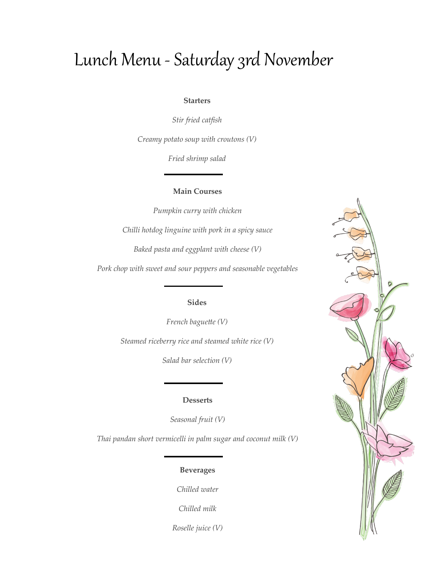## Lunch Menu - Saturday 3rd November

## **Starters**

*Stir fried catfish*

*Creamy potato soup with croutons (V)*

*Fried shrimp salad*

#### **Main Courses**

*Pumpkin curry with chicken*

*Chilli hotdog linguine with pork in a spicy sauce*

*Baked pasta and eggplant with cheese (V)*

*Pork chop with sweet and sour peppers and seasonable vegetables*

## **Sides**

*French baguette (V) Steamed riceberry rice and steamed white rice (V)*

*Salad bar selection (V)*

## **Desserts**

*Seasonal fruit (V)*

*Thai pandan short vermicelli in palm sugar and coconut milk (V)*

## **Beverages**

*Chilled water*

*Chilled milk*

*Roselle juice (V)*